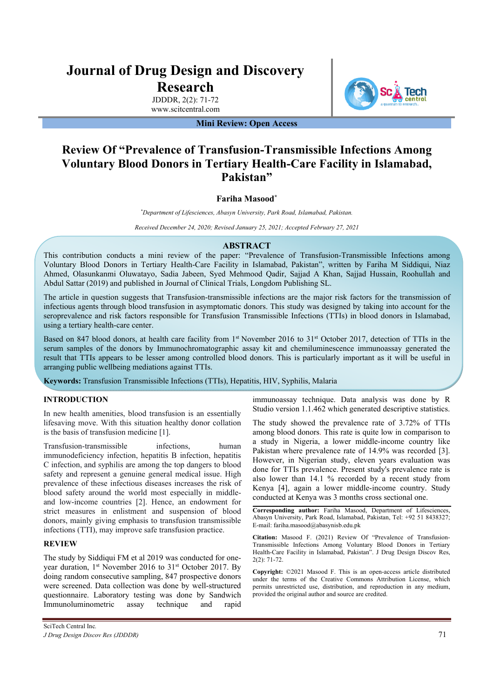# **Journal of Drug Design and Discovery Research**

JDDDR, 2(2): 71-72 www.scitcentral.com **Tech** 

**Mini Review: Open Access** 

## **Review Of "Prevalence of Transfusion-Transmissible Infections Among Voluntary Blood Donors in Tertiary Health-Care Facility in Islamabad, Pakistan"**

## **Fariha Masood\***

*\* Department of Lifesciences, Abasyn University, Park Road, Islamabad, Pakistan.* 

*Received December 24, 2020; Revised January 25, 2021; Accepted February 27, 2021* 

#### **ABSTRACT**

This contribution conducts a mini review of the paper: "Prevalence of Transfusion-Transmissible Infections among Voluntary Blood Donors in Tertiary Health-Care Facility in Islamabad, Pakistan", written by Fariha M Siddiqui, Niaz Ahmed, Olasunkanmi Oluwatayo, Sadia Jabeen, Syed Mehmood Qadir, Sajjad A Khan, Sajjad Hussain, Roohullah and Abdul Sattar (2019) and published in Journal of Clinical Trials, Longdom Publishing SL.

The article in question suggests that Transfusion-transmissible infections are the major risk factors for the transmission of infectious agents through blood transfusion in asymptomatic donors. This study was designed by taking into account for the seroprevalence and risk factors responsible for Transfusion Transmissible Infections (TTIs) in blood donors in Islamabad, using a tertiary health-care center.

Based on 847 blood donors, at health care facility from 1<sup>st</sup> November 2016 to 31<sup>st</sup> October 2017, detection of TTIs in the serum samples of the donors by Immunochromatographic assay kit and chemiluminescence immunoassay generated the result that TTIs appears to be lesser among controlled blood donors. This is particularly important as it will be useful in arranging public wellbeing mediations against TTIs.

**Keywords:** Transfusion Transmissible Infections (TTIs), Hepatitis, HIV, Syphilis, Malaria

### **INTRODUCTION**

In new health amenities, blood transfusion is an essentially lifesaving move. With this situation healthy donor collation is the basis of transfusion medicine [1].

Transfusion-transmissible infections, human immunodeficiency infection, hepatitis B infection, hepatitis C infection, and syphilis are among the top dangers to blood safety and represent a genuine general medical issue. High prevalence of these infectious diseases increases the risk of blood safety around the world most especially in middleand low-income countries [2]. Hence, an endowment for strict measures in enlistment and suspension of blood donors, mainly giving emphasis to transfusion transmissible infections (TTI), may improve safe transfusion practice.

#### **REVIEW**

The study by Siddiqui FM et al 2019 was conducted for oneyear duration, 1<sup>st</sup> November 2016 to 31<sup>st</sup> October 2017. By doing random consecutive sampling, 847 prospective donors were screened. Data collection was done by well-structured questionnaire. Laboratory testing was done by Sandwich Immunoluminometric assay technique and rapid

immunoassay technique. Data analysis was done by R Studio version 1.1.462 which generated descriptive statistics.

The study showed the prevalence rate of 3.72% of TTIs among blood donors. This rate is quite low in comparison to a study in Nigeria, a lower middle-income country like Pakistan where prevalence rate of 14.9% was recorded [3]. However, in Nigerian study, eleven years evaluation was done for TTIs prevalence. Present study's prevalence rate is also lower than 14.1 % recorded by a recent study from Kenya [4], again a lower middle-income country. Study conducted at Kenya was 3 months cross sectional one.

**Corresponding author:** Fariha Masood, Department of Lifesciences, Abasyn University, Park Road, Islamabad, Pakistan, Tel: +92 51 8438327; E-mail: fariha.masood@abasynisb.edu.pk

**Citation:** Masood F. (2021) Review Of "Prevalence of Transfusion-Transmissible Infections Among Voluntary Blood Donors in Tertiary Health-Care Facility in Islamabad, Pakistan". J Drug Design Discov Res, 2(2): 71-72.

**Copyright:** ©2021 Masood F. This is an open-access article distributed under the terms of the Creative Commons Attribution License, which permits unrestricted use, distribution, and reproduction in any medium, provided the original author and source are credited.